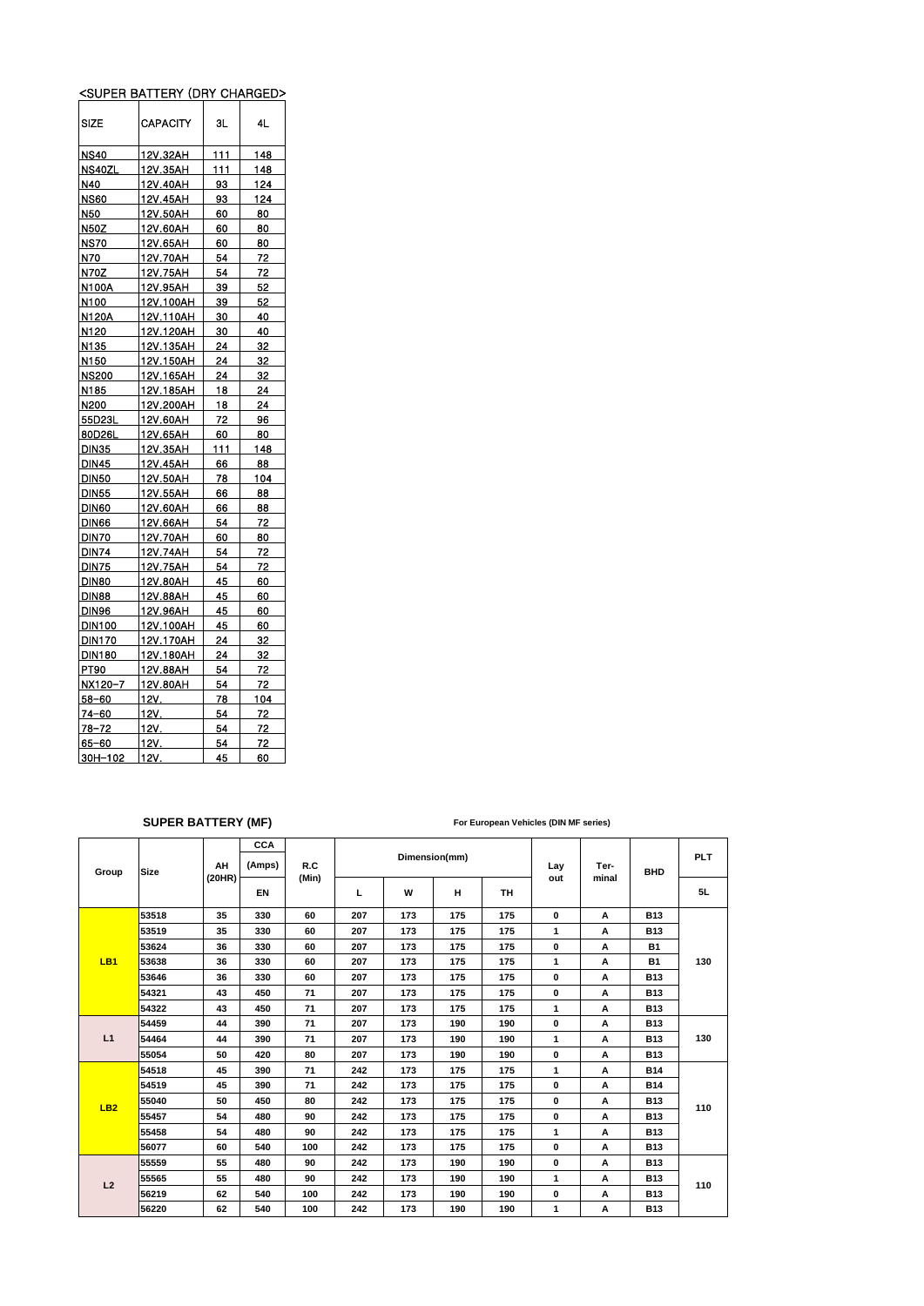|                   | <super (dry="" battery="" charged=""></super> |     |           |
|-------------------|-----------------------------------------------|-----|-----------|
| <b>SIZE</b>       | <b>CAPACITY</b>                               | ЗL  | 4L        |
| <b>NS40</b>       | 12V.32AH                                      | 111 | 148       |
| NS40ZL            | 12V.35AH                                      | 111 | 148       |
| N40               | 12V.40AH                                      | 93  | 124       |
| <b>NS60</b>       | <u>12V.45AH</u>                               | 93  | 124       |
| N50               | 12V.50AH                                      | 60  | 80        |
| N50Z              | 12V.60AH                                      | 60  | 80        |
| <b>NS70</b>       | 12V.65AH                                      | 60  | 80        |
| N70               | 12V.70AH                                      | 54  | <u>72</u> |
| <b>N70Z</b>       | 12V.75AH                                      | 54  | 72        |
| N100A             | 12V.95AH                                      | 39  | 52        |
| N100              | 12V.100AH                                     | 39  | 52        |
| N120A             | 12V.110AH                                     | 30  | 40        |
| N120              | 12V.120AH                                     | 30  | 40        |
| N135              | 12V.135AH                                     | 24  | 32        |
| N150              | 12V.150AH                                     | 24  | 32        |
| <b>NS200</b>      | 12V.165AH                                     | 24  | 32        |
| N185              | 12V.185AH                                     | 18  | 24        |
| N200              | 12V.200AH                                     | 18  | 24        |
| 55D23L            | 12V.60AH                                      | 72  | 96        |
| 80D26L            | 12V.65AH                                      | 60  | 80        |
| DIN35             | <u>12V.35AH</u>                               | 111 | 148       |
| <b>DIN45</b>      | 12V.45AH                                      | 66  | 88        |
| <b>DIN50</b>      | 12V.50AH                                      | 78  | 104       |
| <b>DIN55</b>      | 12V.55AH                                      | 66  | 88        |
| DIN <sub>60</sub> | 12V.60AH                                      | 66  | 88        |
| DIN66             | 12V.66AH                                      | 54  | 72        |
| DIN70             | 12V.70AH                                      | 60  | 80        |
| <b>DIN74</b>      | 12V.74AH                                      | 54  | 72        |
| DIN75             | 12V.75AH                                      | 54  | 72        |
| DIN80             | 12V.80AH                                      | 45  | 60        |
| DIN88             | 12V.88AH                                      | 45  | 60        |
| DIN96             | 12V.96AH                                      | 45  | 60        |
| <b>DIN100</b>     | 12V.100AH                                     | 45  | 60        |
| <b>DIN170</b>     | 12V.170AH                                     | 24  | 32        |
| <b>DIN180</b>     | 12V.180AH                                     | 24  | 32        |
| PT90              | 12V.88AH                                      | 54  | 72        |
| NX120-7           | 12V.80AH                                      | 54  | 72        |
| $58 - 60$         | 12V.                                          | 78  | 104       |
| 74-60             | 12V.                                          | 54  | 72        |
| 78-72             | 12V.                                          | 54  | 72        |
| 65–60             | 12V                                           | 54  | 72        |
| 30H-102           | <u>12V.</u>                                   | 45  | 60        |

## **SUPER BATTERY (MF)**

## **For European Vehicles (DIN MF series)**

| <b>Size</b><br>Group |       | AH<br>(20HR) | <b>CCA</b><br>(Amps) | R.C   |     |     | Dimension(mm) |           | Lay<br>out | Ter-<br>minal | <b>BHD</b> | <b>PLT</b> |
|----------------------|-------|--------------|----------------------|-------|-----|-----|---------------|-----------|------------|---------------|------------|------------|
|                      |       |              | <b>EN</b>            | (Min) | L   | W   | н             | <b>TH</b> |            |               |            | 5L         |
|                      | 53518 | 35           | 330                  | 60    | 207 | 173 | 175           | 175       | 0          | A             | <b>B13</b> |            |
|                      | 53519 | 35           | 330                  | 60    | 207 | 173 | 175           | 175       | 1          | A             | <b>B13</b> | 130        |
|                      | 53624 | 36           | 330                  | 60    | 207 | 173 | 175           | 175       | 0          | A             | <b>B1</b>  |            |
| LB1                  | 53638 | 36           | 330                  | 60    | 207 | 173 | 175           | 175       | 1          | A             | <b>B1</b>  |            |
|                      | 53646 | 36           | 330                  | 60    | 207 | 173 | 175           | 175       | 0          | A             | <b>B13</b> |            |
|                      | 54321 | 43           | 450                  | 71    | 207 | 173 | 175           | 175       | 0          | A             | <b>B13</b> |            |
|                      | 54322 | 43           | 450                  | 71    | 207 | 173 | 175           | 175       | 1          | A             | <b>B13</b> |            |
|                      | 54459 | 44           | 390                  | 71    | 207 | 173 | 190           | 190       | 0          | А             | <b>B13</b> | 130        |
| L1                   | 54464 | 44           | 390                  | 71    | 207 | 173 | 190           | 190       | 1          | A             | <b>B13</b> |            |
|                      | 55054 | 50           | 420                  | 80    | 207 | 173 | 190           | 190       | 0          | A             | <b>B13</b> |            |
|                      | 54518 | 45           | 390                  | 71    | 242 | 173 | 175           | 175       | 1          | A             | <b>B14</b> |            |
|                      | 54519 | 45           | 390                  | 71    | 242 | 173 | 175           | 175       | 0          | A             | <b>B14</b> |            |
| LB2                  | 55040 | 50           | 450                  | 80    | 242 | 173 | 175           | 175       | 0          | A             | <b>B13</b> | 110        |
|                      | 55457 | 54           | 480                  | 90    | 242 | 173 | 175           | 175       | 0          | A             | <b>B13</b> |            |
|                      | 55458 | 54           | 480                  | 90    | 242 | 173 | 175           | 175       | 1          | A             | <b>B13</b> |            |
|                      | 56077 | 60           | 540                  | 100   | 242 | 173 | 175           | 175       | 0          | A             | <b>B13</b> |            |
|                      | 55559 | 55           | 480                  | 90    | 242 | 173 | 190           | 190       | 0          | A             | <b>B13</b> |            |
| L2                   | 55565 | 55           | 480                  | 90    | 242 | 173 | 190           | 190       | 1          | A             | <b>B13</b> | 110        |
|                      | 56219 | 62           | 540                  | 100   | 242 | 173 | 190           | 190       | 0          | A             | <b>B13</b> |            |
|                      | 56220 | 62           | 540                  | 100   | 242 | 173 | 190           | 190       | 1          | A             | <b>B13</b> |            |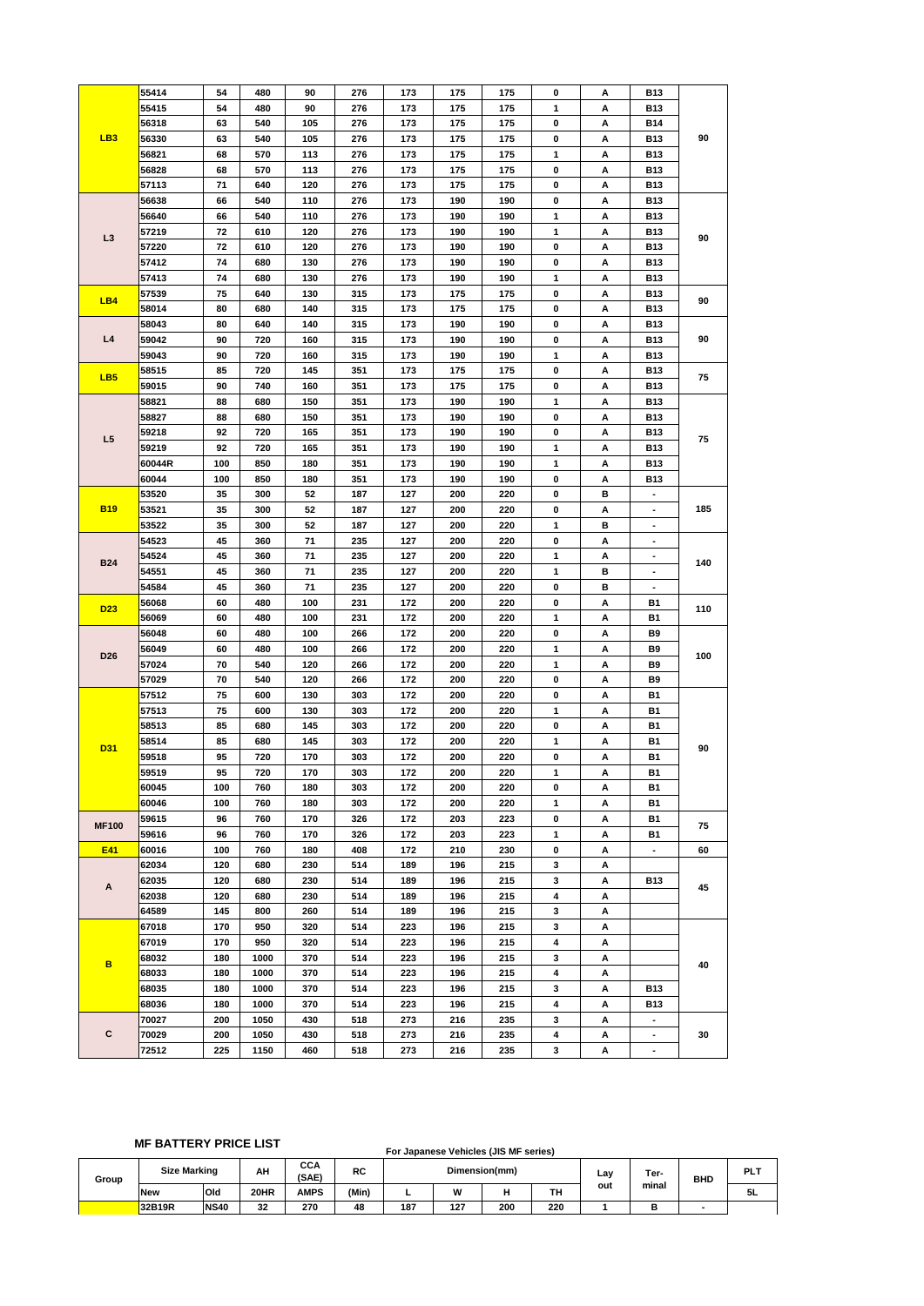|                 | 55414  | 54  | 480  | 90  | 276 | 173 | 175 | 175 | 0            | А | <b>B13</b>               |     |
|-----------------|--------|-----|------|-----|-----|-----|-----|-----|--------------|---|--------------------------|-----|
|                 | 55415  | 54  | 480  | 90  | 276 | 173 | 175 | 175 | 1            | А | <b>B13</b>               |     |
|                 | 56318  | 63  | 540  | 105 | 276 | 173 | 175 | 175 | 0            | А | <b>B14</b>               |     |
|                 |        |     |      |     |     |     |     |     |              |   |                          |     |
| LB <sub>3</sub> | 56330  | 63  | 540  | 105 | 276 | 173 | 175 | 175 | 0            | А | <b>B13</b>               | 90  |
|                 | 56821  | 68  | 570  | 113 | 276 | 173 | 175 | 175 | 1            | А | B13                      |     |
|                 | 56828  | 68  | 570  | 113 | 276 | 173 | 175 | 175 | 0            | А | <b>B13</b>               |     |
|                 | 57113  | 71  | 640  | 120 | 276 | 173 | 175 | 175 | 0            | А | <b>B13</b>               |     |
|                 | 56638  | 66  | 540  | 110 | 276 | 173 | 190 | 190 | 0            | А | B13                      |     |
|                 |        |     |      |     |     |     |     |     |              |   |                          |     |
|                 | 56640  | 66  | 540  | 110 | 276 | 173 | 190 | 190 | 1            | А | <b>B13</b>               |     |
| L <sub>3</sub>  | 57219  | 72  | 610  | 120 | 276 | 173 | 190 | 190 | 1            | А | B13                      | 90  |
|                 | 57220  | 72  | 610  | 120 | 276 | 173 | 190 | 190 | 0            | А | B13                      |     |
|                 | 57412  | 74  | 680  | 130 | 276 | 173 | 190 | 190 | 0            | А | <b>B13</b>               |     |
|                 | 57413  | 74  | 680  | 130 | 276 | 173 | 190 | 190 | 1            | А | B13                      |     |
|                 |        |     |      |     |     |     |     |     |              |   |                          |     |
| LB4             | 57539  | 75  | 640  | 130 | 315 | 173 | 175 | 175 | 0            | А | B13                      | 90  |
|                 | 58014  | 80  | 680  | 140 | 315 | 173 | 175 | 175 | 0            | А | <b>B13</b>               |     |
|                 | 58043  | 80  | 640  | 140 | 315 | 173 | 190 | 190 | 0            | А | B13                      |     |
| L4              | 59042  | 90  | 720  | 160 | 315 | 173 | 190 | 190 | 0            | Α | B13                      | 90  |
|                 | 59043  | 90  | 720  | 160 | 315 | 173 | 190 | 190 | 1            | А | <b>B13</b>               |     |
|                 | 58515  | 85  | 720  | 145 | 351 | 173 | 175 | 175 | 0            | А | B13                      |     |
| LB <sub>5</sub> |        |     |      |     |     |     |     |     |              |   |                          | 75  |
|                 | 59015  | 90  | 740  | 160 | 351 | 173 | 175 | 175 | 0            | Α | B13                      |     |
|                 | 58821  | 88  | 680  | 150 | 351 | 173 | 190 | 190 | 1            | А | <b>B13</b>               |     |
|                 | 58827  | 88  | 680  | 150 | 351 | 173 | 190 | 190 | 0            | А | <b>B13</b>               |     |
|                 | 59218  | 92  | 720  | 165 | 351 | 173 | 190 | 190 | 0            | Α | <b>B13</b>               |     |
| L <sub>5</sub>  | 59219  | 92  | 720  | 165 | 351 | 173 | 190 | 190 | 1            | А | <b>B13</b>               | 75  |
|                 | 60044R | 100 | 850  | 180 | 351 | 173 | 190 | 190 | 1            | А | <b>B13</b>               |     |
|                 |        |     |      |     |     |     |     |     |              |   |                          |     |
|                 | 60044  | 100 | 850  | 180 | 351 | 173 | 190 | 190 | 0            | А | <b>B13</b>               |     |
|                 | 53520  | 35  | 300  | 52  | 187 | 127 | 200 | 220 | 0            | в | ٠                        |     |
| <b>B19</b>      | 53521  | 35  | 300  | 52  | 187 | 127 | 200 | 220 | 0            | А | ٠                        | 185 |
|                 | 53522  | 35  | 300  | 52  | 187 | 127 | 200 | 220 | 1            | в |                          |     |
|                 | 54523  | 45  | 360  | 71  | 235 | 127 | 200 | 220 | 0            | А | ٠                        |     |
|                 |        | 45  |      | 71  |     | 127 |     |     | $\mathbf{1}$ | А |                          |     |
| <b>B24</b>      | 54524  |     | 360  |     | 235 |     | 200 | 220 |              |   | ٠                        | 140 |
|                 | 54551  | 45  | 360  | 71  | 235 | 127 | 200 | 220 | 1            | в | ٠                        |     |
|                 | 54584  | 45  | 360  | 71  | 235 | 127 | 200 | 220 | 0            | в |                          |     |
|                 | 56068  | 60  | 480  | 100 | 231 | 172 | 200 | 220 | 0            | А | <b>B1</b>                |     |
| <b>D23</b>      | 56069  | 60  | 480  | 100 | 231 | 172 | 200 | 220 | 1            | А | <b>B1</b>                | 110 |
|                 | 56048  | 60  | 480  | 100 | 266 | 172 | 200 | 220 | 0            | А | B <sub>9</sub>           |     |
|                 |        |     |      |     |     |     |     |     |              |   |                          |     |
| D <sub>26</sub> | 56049  | 60  | 480  | 100 | 266 | 172 | 200 | 220 | 1            | А | B9                       | 100 |
|                 | 57024  | 70  | 540  | 120 | 266 | 172 | 200 | 220 | 1            | А | B9                       |     |
|                 | 57029  | 70  | 540  | 120 | 266 | 172 | 200 | 220 | 0            | А | B <sub>9</sub>           |     |
|                 | 57512  | 75  | 600  | 130 | 303 | 172 | 200 | 220 | 0            | Α | <b>B1</b>                |     |
|                 | 57513  | 75  | 600  | 130 | 303 | 172 | 200 | 220 | 1            | А | <b>B1</b>                |     |
|                 | 58513  | 85  | 680  | 145 | 303 | 172 | 200 | 220 | 0            | А | <b>B1</b>                |     |
|                 |        |     |      |     |     |     |     |     |              |   |                          |     |
| D31             | 58514  | 85  | 680  | 145 | 303 | 172 | 200 | 220 | 1            | А | <b>B1</b>                | 90  |
|                 | 59518  | 95  | 720  | 170 | 303 | 172 | 200 | 220 | 0            | А | <b>B1</b>                |     |
|                 | 59519  | 95  | 720  | 170 | 303 | 172 | 200 | 220 | 1            | А | <b>B1</b>                |     |
|                 | 60045  | 100 | 760  | 180 | 303 | 172 | 200 | 220 | 0            | А | B1                       |     |
|                 | 60046  | 100 | 760  | 180 | 303 | 172 | 200 | 220 | 1            | А | <b>B1</b>                |     |
|                 | 59615  | 96  | 760  | 170 | 326 | 172 | 203 | 223 | 0            | А | <b>B1</b>                |     |
| <b>MF100</b>    |        |     |      |     |     |     |     |     |              |   |                          | 75  |
|                 | 59616  | 96  | 760  | 170 | 326 | 172 | 203 | 223 | 1            | А | <b>B1</b>                |     |
| <b>E41</b>      | 60016  | 100 | 760  | 180 | 408 | 172 | 210 | 230 | 0            | А | ٠                        | 60  |
|                 | 62034  | 120 | 680  | 230 | 514 | 189 | 196 | 215 | 3            | А |                          |     |
|                 | 62035  | 120 | 680  | 230 | 514 | 189 | 196 | 215 | 3            | А | B13                      |     |
| А               | 62038  | 120 | 680  | 230 | 514 | 189 | 196 | 215 | 4            | А |                          | 45  |
|                 | 64589  | 145 | 800  | 260 | 514 | 189 | 196 | 215 | 3            | Α |                          |     |
|                 |        |     |      |     |     |     |     |     |              |   |                          |     |
|                 | 67018  | 170 | 950  | 320 | 514 | 223 | 196 | 215 | 3            | А |                          |     |
|                 | 67019  | 170 | 950  | 320 | 514 | 223 | 196 | 215 | 4            | А |                          |     |
| B               | 68032  | 180 | 1000 | 370 | 514 | 223 | 196 | 215 | 3            | Α |                          | 40  |
|                 | 68033  | 180 | 1000 | 370 | 514 | 223 | 196 | 215 | 4            | А |                          |     |
|                 | 68035  | 180 | 1000 | 370 | 514 | 223 | 196 | 215 | 3            | А | <b>B13</b>               |     |
|                 | 68036  | 180 | 1000 | 370 | 514 | 223 | 196 | 215 | 4            | А | <b>B13</b>               |     |
|                 |        |     |      |     |     |     |     |     |              |   |                          |     |
|                 | 70027  | 200 | 1050 | 430 | 518 | 273 | 216 | 235 | 3            | А | $\overline{\phantom{a}}$ |     |
| С               | 70029  | 200 | 1050 | 430 | 518 | 273 | 216 | 235 | 4            | А | ٠                        | 30  |
|                 |        |     |      |     |     |     |     |     |              |   |                          |     |
|                 | 72512  | 225 | 1150 | 460 | 518 | 273 | 216 | 235 | 3            | А | ٠                        |     |

## **MF BATTERY PRICE LIST**

## **For Japanese Vehicles (JIS MF series)**

|       |                     |             |             |              |           |               | וכסווסט וויו טוטו פסוטוונס סכסוונסט וט |     |           |      |       |     |      |
|-------|---------------------|-------------|-------------|--------------|-----------|---------------|----------------------------------------|-----|-----------|------|-------|-----|------|
| Group | <b>Size Marking</b> |             | AH          | CCA<br>(SAE) | <b>RC</b> | Dimension(mm) |                                        |     |           | Lav. | Ter-  | BHD | PLT  |
|       | <b>New</b>          | Old         | <b>20HR</b> | <b>AMPS</b>  | (Min)     |               | W                                      |     | <b>Th</b> | out  | minal |     | - 5L |
|       | 32B19R              | <b>NS40</b> | 32          | 270          | 48        | 187           | 127                                    | 200 | 220       |      |       |     |      |